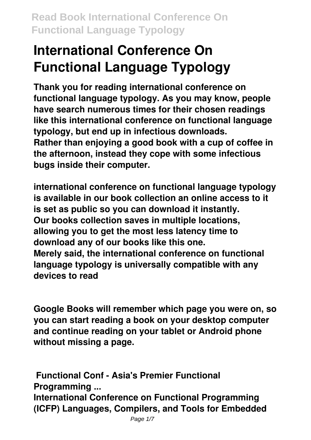**Thank you for reading international conference on functional language typology. As you may know, people have search numerous times for their chosen readings like this international conference on functional language typology, but end up in infectious downloads. Rather than enjoying a good book with a cup of coffee in the afternoon, instead they cope with some infectious bugs inside their computer.**

**international conference on functional language typology is available in our book collection an online access to it is set as public so you can download it instantly. Our books collection saves in multiple locations, allowing you to get the most less latency time to download any of our books like this one. Merely said, the international conference on functional language typology is universally compatible with any devices to read**

**Google Books will remember which page you were on, so you can start reading a book on your desktop computer and continue reading on your tablet or Android phone without missing a page.**

**Functional Conf - Asia's Premier Functional Programming ...**

**International Conference on Functional Programming (ICFP) Languages, Compilers, and Tools for Embedded**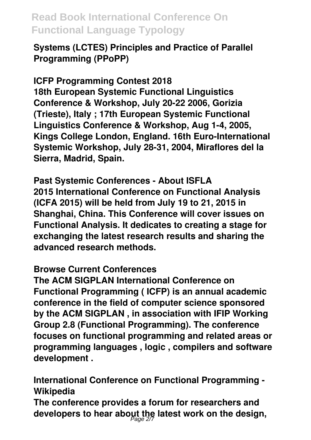**Systems (LCTES) Principles and Practice of Parallel Programming (PPoPP)**

**ICFP Programming Contest 2018**

**18th European Systemic Functional Linguistics Conference & Workshop, July 20-22 2006, Gorizia (Trieste), Italy ; 17th European Systemic Functional Linguistics Conference & Workshop, Aug 1-4, 2005, Kings College London, England. 16th Euro-International Systemic Workshop, July 28-31, 2004, Miraflores del la Sierra, Madrid, Spain.**

**Past Systemic Conferences - About ISFLA 2015 International Conference on Functional Analysis (ICFA 2015) will be held from July 19 to 21, 2015 in Shanghai, China. This Conference will cover issues on Functional Analysis. It dedicates to creating a stage for exchanging the latest research results and sharing the advanced research methods.**

#### **Browse Current Conferences**

**The ACM SIGPLAN International Conference on Functional Programming ( ICFP) is an annual academic conference in the field of computer science sponsored by the ACM SIGPLAN , in association with IFIP Working Group 2.8 (Functional Programming). The conference focuses on functional programming and related areas or programming languages , logic , compilers and software development .**

**International Conference on Functional Programming - Wikipedia The conference provides a forum for researchers and developers to hear about the latest work on the design,** Page 2/7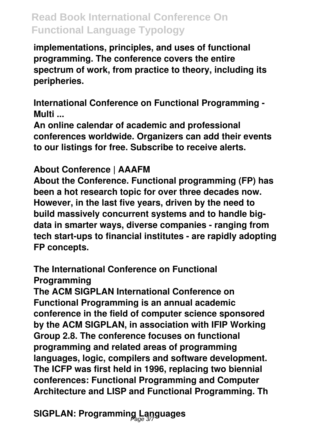**implementations, principles, and uses of functional programming. The conference covers the entire spectrum of work, from practice to theory, including its peripheries.**

**International Conference on Functional Programming - Multi ...**

**An online calendar of academic and professional conferences worldwide. Organizers can add their events to our listings for free. Subscribe to receive alerts.**

#### **About Conference | AAAFM**

**About the Conference. Functional programming (FP) has been a hot research topic for over three decades now. However, in the last five years, driven by the need to build massively concurrent systems and to handle bigdata in smarter ways, diverse companies - ranging from tech start-ups to financial institutes - are rapidly adopting FP concepts.**

#### **The International Conference on Functional Programming**

**The ACM SIGPLAN International Conference on Functional Programming is an annual academic conference in the field of computer science sponsored by the ACM SIGPLAN, in association with IFIP Working Group 2.8. The conference focuses on functional programming and related areas of programming languages, logic, compilers and software development. The ICFP was first held in 1996, replacing two biennial conferences: Functional Programming and Computer Architecture and LISP and Functional Programming. Th**

**SIGPLAN: Programming Languages** Page 3/7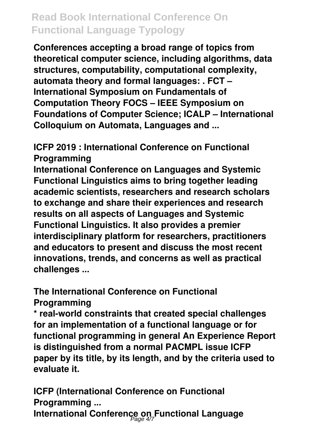**Conferences accepting a broad range of topics from theoretical computer science, including algorithms, data structures, computability, computational complexity, automata theory and formal languages: . FCT – International Symposium on Fundamentals of Computation Theory FOCS – IEEE Symposium on Foundations of Computer Science; ICALP – International Colloquium on Automata, Languages and ...**

**ICFP 2019 : International Conference on Functional Programming**

**International Conference on Languages and Systemic Functional Linguistics aims to bring together leading academic scientists, researchers and research scholars to exchange and share their experiences and research results on all aspects of Languages and Systemic Functional Linguistics. It also provides a premier interdisciplinary platform for researchers, practitioners and educators to present and discuss the most recent innovations, trends, and concerns as well as practical challenges ...**

**The International Conference on Functional Programming**

**\* real-world constraints that created special challenges for an implementation of a functional language or for functional programming in general An Experience Report is distinguished from a normal PACMPL issue ICFP paper by its title, by its length, and by the criteria used to evaluate it.**

**ICFP (International Conference on Functional Programming ...**

**International Conference on Functional Language** Page 4/7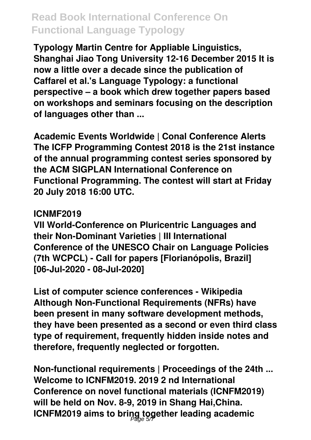**Typology Martin Centre for Appliable Linguistics, Shanghai Jiao Tong University 12-16 December 2015 It is now a little over a decade since the publication of Caffarel et al.'s Language Typology: a functional perspective – a book which drew together papers based on workshops and seminars focusing on the description of languages other than ...**

**Academic Events Worldwide | Conal Conference Alerts The ICFP Programming Contest 2018 is the 21st instance of the annual programming contest series sponsored by the ACM SIGPLAN International Conference on Functional Programming. The contest will start at Friday 20 July 2018 16:00 UTC.**

#### **ICNMF2019**

**VII World-Conference on Pluricentric Languages and their Non-Dominant Varieties | III International Conference of the UNESCO Chair on Language Policies (7th WCPCL) - Call for papers [Florianópolis, Brazil] [06-Jul-2020 - 08-Jul-2020]**

**List of computer science conferences - Wikipedia Although Non-Functional Requirements (NFRs) have been present in many software development methods, they have been presented as a second or even third class type of requirement, frequently hidden inside notes and therefore, frequently neglected or forgotten.**

**Non-functional requirements | Proceedings of the 24th ... Welcome to ICNFM2019. 2019 2 nd International Conference on novel functional materials (ICNFM2019) will be held on Nov. 8-9, 2019 in Shang Hai,China. ICNFM2019 aims to bring together leading academic** Page 5/7